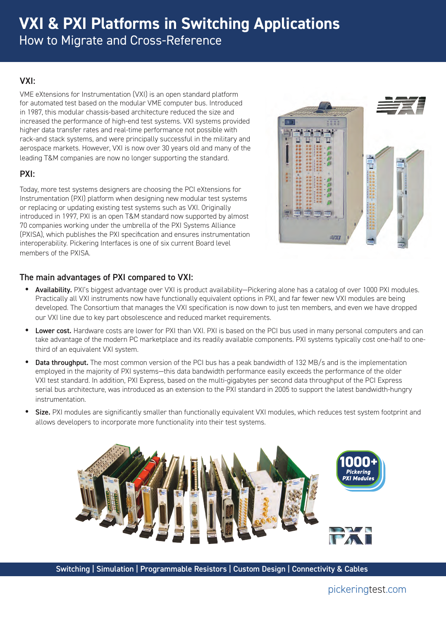# **VXI & PXI Platforms in Switching Applications** How to Migrate and Cross-Reference

#### VXI:

VME eXtensions for Instrumentation (VXI) is an open standard platform for automated test based on the modular VME computer bus. Introduced in 1987, this modular chassis-based architecture reduced the size and increased the performance of high-end test systems. VXI systems provided higher data transfer rates and real-time performance not possible with rack-and stack systems, and were principally successful in the military and aerospace markets. However, VXI is now over 30 years old and many of the leading T&M companies are now no longer supporting the standard.

## PXI:

Today, more test systems designers are choosing the PCI eXtensions for Instrumentation (PXI) platform when designing new modular test systems or replacing or updating existing test systems such as VXI. Originally introduced in 1997, PXI is an open T&M standard now supported by almost 70 companies working under the umbrella of the PXI Systems Alliance (PXISA), which publishes the PXI specification and ensures instrumentation interoperability. Pickering Interfaces is one of six current Board level members of the PXISA.



#### The main advantages of PXI compared to VXI:

- Availability. PXI's biggest advantage over VXI is product availability—Pickering alone has a catalog of over 1000 PXI modules. Practically all VXI instruments now have functionally equivalent options in PXI, and far fewer new VXI modules are being developed. The Consortium that manages the VXI specification is now down to just ten members, and even we have dropped our VXI line due to key part obsolescence and reduced market requirements.
- Lower cost. Hardware costs are lower for PXI than VXI. PXI is based on the PCI bus used in many personal computers and can take advantage of the modern PC marketplace and its readily available components. PXI systems typically cost one-half to onethird of an equivalent VXI system.
- Data throughput. The most common version of the PCI bus has a peak bandwidth of 132 MB/s and is the implementation employed in the majority of PXI systems—this data bandwidth performance easily exceeds the performance of the older VXI test standard. In addition, PXI Express, based on the multi-gigabytes per second data throughput of the PCI Express serial bus architecture, was introduced as an extension to the PXI standard in 2005 to support the latest bandwidth-hungry instrumentation.
- **Size.** PXI modules are significantly smaller than functionally equivalent VXI modules, which reduces test system footprint and allows developers to incorporate more functionality into their test systems.

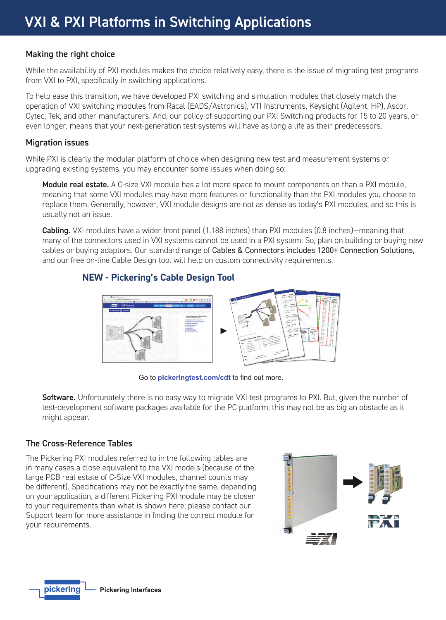#### Making the right choice

While the availability of PXI modules makes the choice relatively easy, there is the issue of migrating test programs from VXI to PXI, specifically in switching applications.

To help ease this transition, we have developed PXI switching and simulation modules that closely match the operation of VXI switching modules from Racal (EADS/Astronics), VTI Instruments, Keysight (Agilent, HP), Ascor, Cytec, Tek, and other manufacturers. And, our policy of supporting our PXI Switching products for 15 to 20 years, or even longer, means that your next-generation test systems will have as long a life as their predecessors.

#### Migration issues

While PXI is clearly the modular platform of choice when designing new test and measurement systems or upgrading existing systems, you may encounter some issues when doing so:

Module real estate. A C-size VXI module has a lot more space to mount components on than a PXI module, meaning that some VXI modules may have more features or functionality than the PXI modules you choose to replace them. Generally, however, VXI module designs are not as dense as today's PXI modules, and so this is usually not an issue.

Cabling. VXI modules have a wider front panel (1.188 inches) than PXI modules (0.8 inches)—meaning that many of the connectors used in VXI systems cannot be used in a PXI system. So, plan on building or buying new cables or buying adaptors. Our standard range of Cables & Connectors includes 1200+ Connection Solutions, and our free on-line Cable Design tool will help on custom connectivity requirements.

## **NEW - Pickering's Cable Design Tool**



Go to **[pickeringtest.com/cdt](http://www.pickeringtest.com/cdt)** to find out more.

Software. Unfortunately there is no easy way to migrate VXI test programs to PXI. But, given the number of test-development software packages available for the PC platform, this may not be as big an obstacle as it might appear.

#### The Cross-Reference Tables

The Pickering PXI modules referred to in the following tables are in many cases a close equivalent to the VXI models (because of the large PCB real estate of C-Size VXI modules, channel counts may be different). Specifications may not be exactly the same, depending on your application, a different Pickering PXI module may be closer to your requirements than what is shown here; please contact our Support team for more assistance in finding the correct module for your requirements.

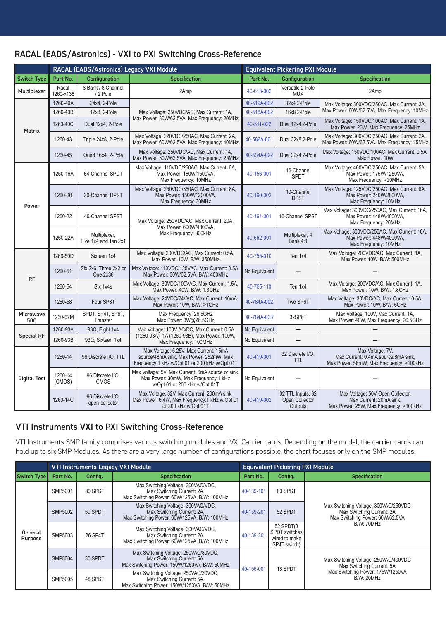| RACAL (EADS/Astronics) - VXI to PXI Switching Cross-Reference |  |
|---------------------------------------------------------------|--|
|---------------------------------------------------------------|--|

|                          |                    | RACAL (EADS/Astronics) Legacy VXI Module |                                                                                                                                   | <b>Equivalent Pickering PXI Module</b> |                                                |                                                                                                       |  |
|--------------------------|--------------------|------------------------------------------|-----------------------------------------------------------------------------------------------------------------------------------|----------------------------------------|------------------------------------------------|-------------------------------------------------------------------------------------------------------|--|
| <b>Switch Type</b>       | Part No.           | Configuration                            | Specification                                                                                                                     | Part No.                               | Configuration                                  | <b>Specification</b>                                                                                  |  |
| Multiplexer              | Racal<br>1260-x138 | 8 Bank / 8 Channel<br>/ 2 Pole           | 2Amp                                                                                                                              | 40-613-002                             | Versatile 2-Pole<br><b>MUX</b>                 | 2Amp                                                                                                  |  |
|                          | 1260-40A           | 24x4, 2-Pole                             |                                                                                                                                   | 40-519A-002                            | 32x4 2-Pole                                    | Max Voltage: 300VDC/250AC, Max Current: 2A,                                                           |  |
| Matrix                   | 1260-40B           | 12x8, 2-Pole                             | Max Voltage: 250VDC/AC, Max Current: 1A,                                                                                          | 40-518A-002                            | 16x8 2-Pole                                    | Max Power: 60W/62.5VA, Max Frequency: 10MHz                                                           |  |
|                          | 1260-40C           | Dual 12x4, 2-Pole                        | Max Power: 30W/62.5VA, Max Frequency: 20MHz                                                                                       | 40-511-022                             | Dual 12x4 2-Pole                               | Max Voltage: 150VDC/100AC, Max Current: 1A,<br>Max Power: 20W, Max Frequency: 25MHz                   |  |
|                          | 1260-43            | Triple 24x8, 2-Pole                      | Max Voltage: 220VDC/250AC, Max Current: 2A,<br>Max Power: 60W/62.5VA, Max Frequency: 40MHz                                        | 40-586A-001                            | Dual 32x8 2-Pole                               | Max Voltage: 300VDC/250AC, Max Current: 2A,<br>Max Power: 60W/62.5VA, Max Frequency: 15MHz            |  |
|                          | 1260-45            | Quad 16x4, 2-Pole                        | Max Voltage: 250VDC/AC, Max Current: 1A,<br>Max Power: 30W/62.5VA, Max Frequency: 25MHz                                           | 40-534A-022                            | Dual 32x4 2-Pole                               | Max Voltage: 150VDC/100AC, Max Current: 0.5A,<br>Max Power: 10W                                       |  |
|                          | 1260-16A           | 64-Channel SPDT                          | Max Voltage: 110VDC/250AC, Max Current: 6A,<br>Max Power: 180W/1500VA,<br>Max Frequency: 10MHz                                    | 40-156-001                             | 16-Channel<br><b>SPDT</b>                      | Max Voltage: 400VDC/250AC, Max Current: 5A,<br>Max Power: 175W/1250VA,<br>Max Frequency: >20MHz       |  |
| Power                    | 1260-20            | 20-Channel DPST                          | Max Voltage: 250VDC/380AC. Max Current: 8A.<br>Max Power: 150W/12000VA,<br>Max Frequency: 30MHz                                   | 40-160-002                             | 10-Channel<br><b>DPST</b>                      | Max Voltage: 125VDC/250AC, Max Current: 8A.<br>Max Power: 240W/2000VA,<br>Max Frequency: 10MHz        |  |
|                          | 1260-22            | 40-Channel SPST                          | Max Voltage: 250VDC/AC, Max Current: 20A,                                                                                         | 40-161-001                             | 16-Channel SPST                                | Max Voltage: 300VDC/250AC, Max Current: 16A,<br>Max Power: 448W/4000VA,<br>Max Frequency: 20MHz       |  |
|                          | 1260-22A           | Multiplexer,<br>Five 1x4 and Ten 2x1     | Max Power: 600W/4800VA.<br>Max Frequency: 300kHz                                                                                  | 40-662-001                             | Multiplexer, 4<br>Bank 4:1                     | Max Voltage: 300VDC/250AC, Max Current: 16A,<br>Max Power: 448W/4000VA,<br>Max Frequency: 10MHz       |  |
|                          | 1260-50D           | Sixteen 1x4                              | Max Voltage: 200VDC/AC, Max Current: 0.5A,<br>Max Power: 10W, B/W: 350MHz                                                         | 40-755-010                             | Ten 1x4                                        | Max Voltage: 200VDC/AC, Max Current: 1A,<br>Max Power: 10W, B/W: 500MHz                               |  |
| <b>RF</b>                | 1260-51            | Six 2x6, Three 2x2 or<br>One 2x36        | Max Voltage: 110VDC/125VAC, Max Current: 0.5A<br>Max Power: 30W/62.5VA, B/W: 400MHz                                               | No Equivalent                          |                                                |                                                                                                       |  |
|                          | 1260-54            | Six 1x4s                                 | Max Voltage: 30VDC/100VAC, Max Current: 1.5A,<br>Max Power: 40W, B/W: 1.3GHz                                                      | 40-755-110                             | Ten 1x4                                        | Max Voltage: 200VDC/AC, Max Current: 1A,<br>Max Power: 10W, B/W: 1.8GHz                               |  |
|                          | 1260-58            | Four SP8T                                | Max Voltage: 24VDC/24VAC, Max Current: 10mA,<br>Max Power: 10W. B/W: >1GHz                                                        | 40-784A-002                            | Two SP6T                                       | Max Voltage: 30VDC/AC, Max Current: 0.5A,<br>Max Power: 10W. B/W: 6GHz                                |  |
| Microwave<br>50 $\Omega$ | 1260-67M           | SPDT, SP4T, SP6T,<br>Transfer            | Max Frequency: 26.5GHz<br>Max Power: 3W@26.5GHz                                                                                   | 40-784A-033                            | 3xSP6T                                         | Max Voltage: 100V, Max Current: 1A,<br>Max Power: 40W, Max Frequency: 26.5GHz                         |  |
|                          | 1260-93A           | $93\Omega$ , Eight 1x4                   | Max Voltage: 100V AC/DC, Max Current: 0.5A                                                                                        | No Equivalent                          | $\overline{\phantom{0}}$                       |                                                                                                       |  |
| <b>Special RF</b>        | 1260-93B           | 93Ω, Sixteen 1x4                         | (1260-93A) 1A (1260-93B), Max Power: 100W,<br>Max Frequency: 100MHz                                                               | No Equivalent                          |                                                |                                                                                                       |  |
| <b>Digital Test</b>      | 1260-14            | 96 Discrete I/O, TTL                     | Max Voltage: 5.25V, Max Current: 15mA<br>source/48mA sink. Max Power: 252mW. Max<br>Frequency:1 kHz w/Opt 01 or 200 kHz w/Opt 01T | 40-410-001                             | 32 Discrete I/O,<br><b>TTL</b>                 | Max Voltage: 7V.<br>Max Current: 0.4mA source/8mA sink.<br>Max Power: 56mW, Max Frequency: >100kHz    |  |
|                          | 1260-14<br>(CMOS)  | 96 Discrete I/O,<br><b>CMOS</b>          | Max Voltage: 5V, Max Current: 6mA source or sink,<br>Max Power: 30mW, Max Frequency:1 kHz<br>w/Opt 01 or 200 kHz w/Opt 01T        | No Equivalent                          |                                                |                                                                                                       |  |
|                          | 1260-14C           | 96 Discrete I/O,<br>open-collector       | Max Voltage: 32V, Max Current: 200mA sink,<br>Max Power: 6.4W, Max Frequency:1 kHz w/Opt 01<br>or 200 kHz w/Opt 01T               | 40-410-002                             | 32 TTL Inputs, 32<br>Open Collector<br>Outputs | Max Voltage: 50V Open Collector,<br>Max Current: 20mA sink,<br>Max Power: 25W, Max Frequency: >100kHz |  |

## VTI Instruments VXI to PXI Switching Cross-Reference

VTI Instruments SMP family comprises various switching modules and VXI Carrier cards. Depending on the model, the carrier cards can hold up to six SMP Modules. As there are a very large number of configurations possible, the chart focuses only on the SMP modules.

|                    |                |         | <b>VTI Instruments Legacy VXI Module</b>                                                                           | <b>Equivalent Pickering PXI Module</b> |                                                                    |                                                                                                      |  |
|--------------------|----------------|---------|--------------------------------------------------------------------------------------------------------------------|----------------------------------------|--------------------------------------------------------------------|------------------------------------------------------------------------------------------------------|--|
| Switch Type        | Part No.       | Config. | <b>Specification</b>                                                                                               | Part No.                               | Confia.                                                            | <b>Specification</b>                                                                                 |  |
| General<br>Purpose | SMP5001        | 80 SPST | Max Switching Voltage: 300VAC/VDC,<br>Max Switching Current: 2A,<br>Max Switching Power: 60W/125VA, B/W: 100MHz    | 40-139-101                             | 80 SPST                                                            |                                                                                                      |  |
|                    | <b>SMP5002</b> | 50 SPDT | Max Switching Voltage: 300VAC/VDC,<br>Max Switching Current: 2A,<br>Max Switching Power: 60W/125VA, B/W: 100MHz    | 40-139-201                             | 52 SPDT                                                            | Max Switching Voltage: 300VAC/250VDC<br>Max Switching Current: 2A<br>Max Switching Power: 60W/62.5VA |  |
|                    | SMP5003        | 26 SP4T | Max Switching Voltage: 300VAC/VDC,<br>Max Switching Current: 2A.<br>Max Switching Power: 60W/125VA, B/W: 100MHz    | 40-139-201                             | 52 SPDT(3<br><b>SPDT</b> switches<br>wired to make<br>SP4T switch) | B/W: 70MHz                                                                                           |  |
|                    | <b>SMP5004</b> | 30 SPDT | Max Switching Voltage: 250VAC/30VDC,<br>Max Switching Current: 5A,<br>Max Switching Power: 150W/1250VA, B/W: 50MHz | 40-156-001                             | 18 SPDT                                                            | Max Switching Voltage: 250VAC/400VDC<br>Max Switching Current: 5A                                    |  |
|                    | SMP5005        | 48 SPST | Max Switching Voltage: 250VAC/30VDC,<br>Max Switching Current: 5A,<br>Max Switching Power: 150W/1250VA, B/W: 50MHz |                                        |                                                                    | Max Switching Power: 175W/1250VA<br><b>B/W: 20MHz</b>                                                |  |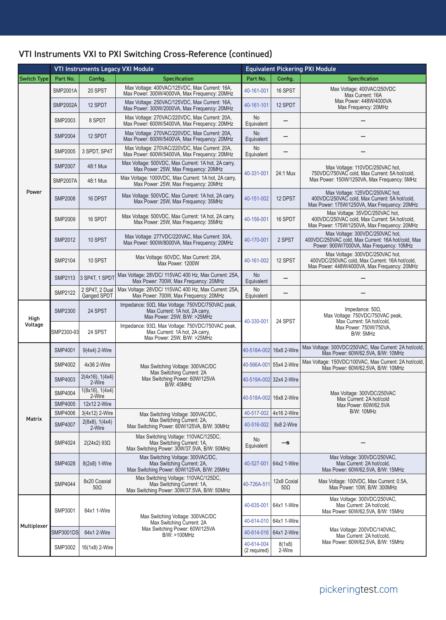# VTI Instruments VXI to PXI Switching Cross-Reference (continued)

|                    | <b>VTI Instruments Legacy VXI Module</b><br><b>Equivalent Pickering PXI Module</b> |                                           |                                                                                                                   |                            |                           |                                                                                                                                   |  |
|--------------------|------------------------------------------------------------------------------------|-------------------------------------------|-------------------------------------------------------------------------------------------------------------------|----------------------------|---------------------------|-----------------------------------------------------------------------------------------------------------------------------------|--|
| <b>Switch Type</b> | Part No.                                                                           | Config.                                   | Specification                                                                                                     | Part No.                   | Config.                   | <b>Specification</b>                                                                                                              |  |
|                    | <b>SMP2001A</b>                                                                    | 20 SPST                                   | Max Voltage: 400VAC/125VDC, Max Current: 16A,<br>Max Power: 300W/4000VA, Max Frequency: 20MHz                     | 40-161-001                 | 16 SPST                   | Max Voltage: 400VAC/250VDC<br>Max Current: 16A                                                                                    |  |
|                    | <b>SMP2002A</b>                                                                    | 12 SPDT                                   | Max Voltage: 250VAC/125VDC, Max Current: 16A,<br>Max Power: 300W/2000VA, Max Frequency: 20MHz                     | 40-161-101                 | 12 SPDT                   | Max Power: 448W/4000VA<br>Max Frequency: 20MHz                                                                                    |  |
|                    | SMP2003                                                                            | 8 SPDT                                    | Max Voltage: 270VAC/220VDC, Max Current: 20A,<br>Max Power: 600W/5400VA, Max Frequency: 20MHz                     | No<br>Equivalent           |                           |                                                                                                                                   |  |
|                    | <b>SMP2004</b>                                                                     | 12 SPDT                                   | Max Voltage: 270VAC/220VDC, Max Current: 20A,<br>Max Power: 600W/5400VA, Max Frequency: 20MHz                     | No<br>Equivalent           |                           |                                                                                                                                   |  |
|                    | <b>SMP2005</b>                                                                     | 3 SPDT. SP4T                              | Max Voltage: 270VAC/220VDC, Max Current: 20A,<br>Max Power: 600W/5400VA, Max Frequency: 20MHz                     | No<br>Equivalent           |                           |                                                                                                                                   |  |
|                    | <b>SMP2007</b>                                                                     | 48:1 Mux                                  | Max Voltage: 500VDC, Max Current: 1A hot, 2A carry,<br>Max Power: 25W. Max Frequency: 20MHz                       | 40-331-001                 | 24:1 Mux                  | Max Voltage: 110VDC/250VAC hot,<br>750VDC/750VAC cold, Max Current: 5A hot/cold,                                                  |  |
|                    | <b>SMP2007A</b>                                                                    | 48:1 Mux                                  | Max Voltage: 1000VDC, Max Current: 1A hot, 2A carry,<br>Max Power: 25W, Max Frequency: 20MHz                      |                            |                           | Max Power: 150W/1250VA, Max Frequency: 5MHz                                                                                       |  |
| Power              | <b>SMP2008</b>                                                                     | 16 DPST                                   | Max Voltage: 500VDC, Max Current: 1A hot, 2A carry,<br>Max Power: 25W, Max Frequency: 35MHz                       | 40-151-002                 | 12 DPST                   | Max Voltage: 125VDC/250VAC hot,<br>400VDC/250VAC cold, Max Current: 5A hot/cold,<br>Max Power: 175W/1250VA, Max Frequency: 20MHz  |  |
|                    | <b>SMP2009</b>                                                                     | 16 SPDT                                   | Max Voltage: 500VDC, Max Current: 1A hot, 2A carry,<br>Max Power: 25W, Max Frequency: 35MHz                       | 40-156-001                 | 16 SPDT                   | Max Voltage: 35VDC/250VAC hot,<br>400VDC/250VAC cold, Max Current: 5A hot/cold,<br>Max Power: 175W/1250VA, Max Frequency: 20MHz   |  |
|                    | <b>SMP2012</b>                                                                     | 10 SPST                                   | Max Voltage: 277VDC/220VAC, Max Current: 30A,<br>Max Power: 900W/8000VA, Max Frequency: 20MHz                     | 40-170-001                 | 2 SPST                    | Max Voltage: 300VDC/250VAC hot,<br>400VDC/250VAC cold, Max Current: 16A hot/cold, Max<br>Power: 900W/7000VA, Max Frequency: 10MHz |  |
|                    | <b>SMP2104</b>                                                                     | 10 SPST                                   | Max Voltage: 60VDC, Max Current: 20A,<br>Max Power: 1200W                                                         | 40-161-002                 | 12 SPST                   | Max Voltage: 300VDC/250VAC hot,<br>400VDC/250VAC cold, Max Current: 16A hot/cold,<br>Max Power: 448W/4000VA, Max Frequency: 20MHz |  |
|                    | <b>SMP2113</b>                                                                     | 3 SP4T, 1 SPDT                            | Max Voltage: 28VDC/ 115VAC 400 Hz, Max Current: 25A,<br>Max Power: 700W, Max Frequency: 20MHz                     | No<br>Equivalent           |                           |                                                                                                                                   |  |
|                    | <b>SMP2122</b>                                                                     | 2 SP4T, 2 Dual<br>Ganged SPDT             | Max Voltage: 28VDC/ 115VAC 400 Hz, Max Current: 25A.<br>Max Power: 700W, Max Frequency: 20MHz                     | No<br>Equivalent           |                           |                                                                                                                                   |  |
| High               | <b>SMP2300</b>                                                                     | 24 SPST                                   | Impedance: 50Ω, Max Voltage: 750VDC/750VAC peak,<br>Max Current: 1A hot, 2A carry,<br>Max Power: 25W, B/W: >25MHz | 40-330-001                 | 24 SPST                   | Impedance: $50\Omega$ ,<br>Max Voltage: 750VDC/750VAC peak,<br>Max Current: 5A hot/cold,                                          |  |
| Voltage            | SMP2300-93                                                                         | 24 SPST                                   | Impedance: 93Ω, Max Voltage: 750VDC/750VAC peak,<br>Max Current: 1A hot, 2A carry,<br>Max Power: 25W, B/W: >25MHz |                            |                           | Max Power: 750W/750VA,<br>B/W: 5MHz                                                                                               |  |
|                    | <b>SMP4001</b>                                                                     | 9(4x4) 2-Wire                             |                                                                                                                   | 40-518A-002                | 16x8 2-Wire               | Max Voltage: 300VDC/250VAC, Max Current: 2A hot/cold,<br>Max Power: 60W/62.5VA, B/W: 10MHz                                        |  |
|                    | <b>SMP4002</b>                                                                     | 4x36 2-Wire                               | Max Switching Voltage: 300VAC/DC<br>Max Switching Current: 2A                                                     |                            | 40-566A-001 55x4 2-Wire   | Max Voltage: 150VDC/100VAC, Max Current: 2A hot/cold,<br>Max Power: 60W/62.5VA, B/W: 10MHz                                        |  |
|                    | <b>SMP4003</b>                                                                     | 2(4x16), 1(4x4)<br>2-Wire                 | Max Switching Power: 60W/125VA<br><b>B/W: 45MHz</b>                                                               |                            | 40-519A-002 32x4 2-Wire   | Max Voltage: 300VDC/250VAC<br>Max Current: 2A hot/cold                                                                            |  |
|                    | <b>SMP4004</b><br><b>SMP4005</b>                                                   | 1(8x16), 1(4x4)<br>2-Wire<br>12x12 2-Wire |                                                                                                                   |                            | 40-518A-002 16x8 2-Wire   |                                                                                                                                   |  |
|                    | <b>SMP4006</b>                                                                     | 3(4x12) 2-Wire                            | Max Switching Voltage: 300VAC/DC,                                                                                 | 40-517-002                 | 4x16 2-Wire               | Max Power: 60W/62.5VA<br><b>B/W: 10MHz</b>                                                                                        |  |
| Matrix             | <b>SMP4007</b>                                                                     | 2(8x8), 1(4x4)<br>2-Wire                  | Max Switching Current: 2A,<br>Max Switching Power: 60W/125VA, B/W: 30MHz                                          | 40-516-002                 | 8x8 2-Wire                |                                                                                                                                   |  |
|                    | <b>SMP4024</b>                                                                     | 2(24x2) 93Ω                               | Max Switching Voltage: 110VAC/125DC,<br>Max Switching Current: 1A,<br>Max Switching Power: 30W/37.5VA, B/W: 50MHz | No<br>Equivalent           | —s                        |                                                                                                                                   |  |
|                    | <b>SMP4028</b>                                                                     | 8(2x8) 1-Wire                             | Max Switching Voltage: 300VAC/DC,<br>Max Switching Current: 2A,<br>Max Switching Power: 60W/125VA, B/W: 25MHz     | 40-527-001                 | 64x2 1-Wire               | Max Voltage: 300VDC/250VAC,<br>Max Current: 2A hot/cold,<br>Max Power: 60W/62.5VA, B/W: 15MHz                                     |  |
|                    | <b>SMP4044</b>                                                                     | 8x20 Coaxial<br>$50\Omega$                | Max Switching Voltage: 110VAC/125DC,<br>Max Switching Current: 1A,<br>Max Switching Power: 30W/37.5VA, B/W: 50MHz | 40-726A-511                | 12x8 Coxial<br>$50\Omega$ | Max Voltage: 100VDC, Max Current: 0.5A.<br>Max Power: 10W, B/W: 300MHz                                                            |  |
|                    | SMP3001                                                                            | 64x1 1-Wire                               |                                                                                                                   | 40-635-001                 | 64x1 1-Wire               | Max Voltage: 300VDC/250VAC,<br>Max Current: 2A hot/cold,<br>Max Power: 60W/62.5VA, B/W: 15MHz                                     |  |
| Multiplexer        |                                                                                    |                                           | Max Switching Voltage: 300VAC/DC<br>Max Switching Current: 2A                                                     | 40-614-010                 | 64x1 1-Wire               |                                                                                                                                   |  |
|                    | <b>SMP3001DS</b>                                                                   | 64x1 2-Wire                               | Max Switching Power: 60W/125VA<br>B/W: >100MHz                                                                    | 40-614-016                 | 64x1 2-Wire               | Max Voltage: 200VDC/140VAC,<br>Max Current: 2A hot/cold,                                                                          |  |
|                    | SMP3002                                                                            | 16(1x8) 2-Wire                            |                                                                                                                   | 40-614-004<br>(2 required) | 8(1x8)<br>2-Wire          | Max Power: 60W/62.5VA, B/W: 15MHz                                                                                                 |  |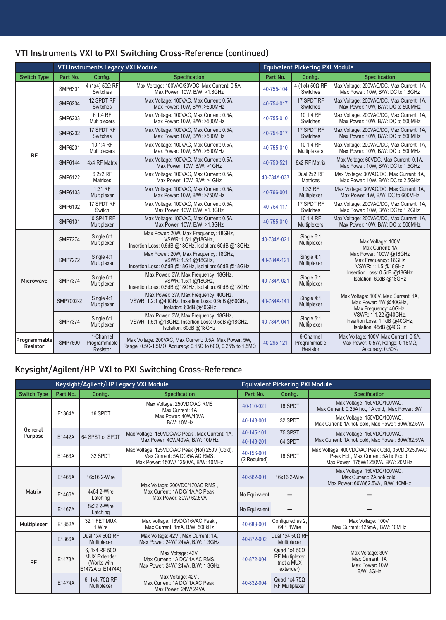|                    |                |                                   | <b>VTI Instruments Legacy VXI Module</b>                                      | <b>Equivalent Pickering PXI Module</b> |                                  |                                                                               |  |
|--------------------|----------------|-----------------------------------|-------------------------------------------------------------------------------|----------------------------------------|----------------------------------|-------------------------------------------------------------------------------|--|
| <b>Switch Type</b> | Part No.       | Config.                           | <b>Specification</b>                                                          | Part No.                               | Config.                          | <b>Specification</b>                                                          |  |
| RF                 | SMP6301        | 4 (1x4) 50Ω RF<br><b>Switches</b> | Max Voltage: 100VAC/30VDC, Max Current: 0.5A,<br>Max Power: 10W. B/W: >1.8GHz | 40-755-104                             | $4(1x4) 50\Omega$ RF<br>Switches | Max Voltage: 200VAC/DC, Max Current: 1A,<br>Max Power: 10W, B/W: DC to 1.8GHz |  |
|                    | <b>SMP6204</b> | 12 SPDT RF<br><b>Switches</b>     | Max Voltage: 100VAC, Max Current: 0.5A,<br>Max Power: 10W, B/W: >500MHz       | 40-754-017                             | 17 SPDT RF<br><b>Switches</b>    | Max Voltage: 200VAC/DC, Max Current: 1A,<br>Max Power: 10W, B/W: DC to 500MHz |  |
|                    | SMP6203        | 6 1:4 RF<br>Multiplexers          | Max Voltage: 100VAC, Max Current: 0.5A,<br>Max Power: 10W. B/W: >500MHz       | 40-755-010                             | 10 1:4 RF<br>Switches            | Max Voltage: 200VAC/DC, Max Current: 1A,<br>Max Power: 10W. B/W: DC to 500MHz |  |
|                    | <b>SMP6202</b> | 17 SPDT RF<br><b>Switches</b>     | Max Voltage: 100VAC, Max Current: 0.5A,<br>Max Power: 10W, B/W: >500MHz       | 40-754-017                             | 17 SPDT RF<br><b>Switches</b>    | Max Voltage: 200VAC/DC, Max Current: 1A,<br>Max Power: 10W, B/W: DC to 500MHz |  |
|                    | SMP6201        | 10 1:4 RF<br>Multiplexers         | Max Voltage: 100VAC, Max Current: 0.5A,<br>Max Power: 10W, B/W: >500MHz       | 40-755-010                             | 10 1:4 RF<br><b>Multiplexers</b> | Max Voltage: 200VAC/DC, Max Current: 1A,<br>Max Power: 10W, B/W: DC to 500MHz |  |
|                    | <b>SMP6144</b> | 4x4 RF Matrix                     | Max Voltage: 100VAC, Max Current: 0.5A,<br>Max Power: 10W, B/W: >1GHz         | 40-750-521                             | 8x2 RF Matrix                    | Max Voltage: 60VDC, Max Current: 0.1A,<br>Max Power: 10W, B/W: DC to 1.5GHz   |  |
|                    | SMP6122        | 6 2x2 RF<br>Matrices              | Max Voltage: 100VAC, Max Current: 0.5A,<br>Max Power: 10W, B/W: >1GHz         | 40-784A-033                            | Dual 2x2 RF<br><b>Matrices</b>   | Max Voltage: 30VAC/DC, Max Current: 1A,<br>Max Power: 10W, B/W: DC to 2.5GHz  |  |
|                    | SMP6103        | $1:31$ RF<br>Multiplexer          | Max Voltage: 100VAC, Max Current: 0.5A,<br>Max Power: 10W, B/W: >750MHz       | 40-766-001                             | 1:32 RF<br>Multiplexer           | Max Voltage: 30VAC/DC, Max Current: 1A,<br>Max Power: 1W, B/W: DC to 600MHz   |  |
|                    | SMP6102        | 17 SPDT RF<br>Switch              | Max Voltage: 100VAC, Max Current: 0.5A,<br>Max Power: 10W, B/W: >1.3GHz       | 40-754-117                             | 17 SPDT RF<br>Switches           | Max Voltage: 200VAC/DC, Max Current: 1A,<br>Max Power: 10W, B/W: DC to 1.2GHz |  |

Max Voltage: 100VAC, Max Current: 0.5A,

Max Power: 20W, Max Frequency: 18GHz, VSWR: 1.5:1 @18GHz, Insertion Loss: 0.5dB @18GHz, Isolation: 60dB @18GHz

Max Power: 20W, Max Frequency: 18GHz, VSWR: 1.5:1 @18GHz, Insertion Loss: 0.5dB @18GHz, Isolation: 60dB @18GHz

Max Power: 3W, Max Frequency: 18GHz, VSWR: 1.5:1 @18GHz, Insertion Loss: 0.5dB @18GHz, Isolation: 60dB @18GHz

Max Power: 3W, Max Frequency: 40GHz, VSWR: 1.2:1 @40GHz, Insertion Loss: 0.9dB @50GHz, Isolation: 60dB @40GHz

Max Power: 3W, Max Frequency: 18GHz, VSWR: 1.5:1 @18GHz, Insertion Loss: 0.5dB @18GHz, Isolation: 60dB @18GHz

Max Voltage: 200VAC, Max Current: 0.5A, Max Power: 5W,

Max Voltage: 200VAC, Max Current: 0.5A, Max Power: 5W,<br>Range: 0.5Ω-1.5MΩ, Accuracy: 0.15Ω to 60Ω, 0.25% to 1.5MΩ  $\bigcup$  [40-295-121](https://www.pickeringtest.com/product/resistor-card-6x24-bit-(0ohm---16mohm))

Voltage: 100VAC, Max Current: 0.5A,<br>
Max Power: 10W, B/W: >1.3GHz [40-755-010](https://www.pickeringtest.com/product/10off-sp4t-rf-mux-multiway-connector) Multiplexer

Multiplexers

**Multiplexer** 

**Multiplexer** 

Multiplexer

**Multiplexer** 

6-Channel Programmable Resistor

[40-784A-021](https://www.pickeringtest.com/product/single-sp6t-mux-18ghz-50-ohm-sma) Single 6:1

[40-784A-121](https://www.pickeringtest.com/product/single-sp4t-mux-18ghz-50-ohm-sma) Single 4:1

[40-784A-021](https://www.pickeringtest.com/product/single-sp6t-mux-18ghz-50-ohm-sma) Single 6:1

[40-784A-141](https://www.pickeringtest.com/product/single-sp4t-mux-40ghz-50-ohm-sma) Single 4:1

[40-784A-041](https://www.pickeringtest.com/product/single-sp6t-mux-40ghz-50-ohm-sma) Single 6:1

Max Voltage: 200VAC/DC, Max Current: 1A, Max Power: 10W, B/W: DC to 500MHz

> Max Voltage: 100V Max Current: 1A Max Power: 100W @18GHz Max Frequency: 18GHz VSWR: 1:1.5 @18GHz Insertion Loss: 0.5dB @18GHz Isolation: 60dB @18GHz

Max Voltage: 100V, Max Current: 1A, Max Power: 4W @40GHz, Max Frequency: 40GHz, VSWR: 1:1.22 @40GHz, Insertion Loss: 1.1dB @40GHz, Isolation: 45dB @40GHz

Max Voltage: 100V, Max Current: 0.5A, Max Power: 0.5W, Range: 0-16MΩ, Accuracy: 0.50%

#### VTI Instruments VXI to PXI Switching Cross-Reference (continued)

## Keysight/Agilent/HP VXI to PXI Switching Cross-Reference

SMP6101 10 SP4T RF Multiplexer

SMP7274 Single 6:1

SMP7272 | Single 4:1

SMP7374 Single 6:1

SMP7002-2 Single 4:1

SMP7374 Single 6:1

SMP7600

**Multiplexer** 

Multiplexer

**Multiplexer** 

Multiplexer

Multiplexer

1-Channel Programmable Resistor

Microwave

Programmable<br>Resistor

|                    |          |                                                                                | Keysight/Agilent/HP Legacy VXI Module                                                                                  |                                                      | <b>Equivalent Pickering PXI Module</b>                            |                                                                                                                             |
|--------------------|----------|--------------------------------------------------------------------------------|------------------------------------------------------------------------------------------------------------------------|------------------------------------------------------|-------------------------------------------------------------------|-----------------------------------------------------------------------------------------------------------------------------|
| <b>Switch Type</b> | Part No. | Config.                                                                        | <b>Specification</b>                                                                                                   | Part No.                                             | Config.                                                           | Specification                                                                                                               |
|                    | E1364A   | 16 SPDT                                                                        | Max Voltage: 250VDC/AC RMS<br>Max Current: 1A                                                                          | 40-110-021                                           | 16 SPDT                                                           | Max Voltage: 150VDC/100VAC,<br>Max Current: 0.25A hot, 1A cold. Max Power: 3W                                               |
|                    |          |                                                                                | Max Power: 40W/40VA<br><b>B/W: 10MHz</b>                                                                               | Max Voltage: 150VDC/100VAC,<br>40-148-001<br>32 SPDT |                                                                   | Max Current: 1A hot/ cold. Max Power: 60W/62.5VA                                                                            |
| General<br>Purpose | E1442A   | 64 SPST or SPDT                                                                | Max Voltage: 150VDC/AC Peak, Max Current: 1A,                                                                          | 40-145-101                                           | 75 SPST                                                           | Max Voltage: 150VDC/100VAC,                                                                                                 |
|                    |          |                                                                                | Max Power: 40W/40VA, B/W: 10MHz                                                                                        | 40-148-201                                           | 64 SPDT                                                           | Max Current: 1A hot/ cold, Max Power: 60W/62.5VA                                                                            |
|                    | E1463A   | 32 SPDT                                                                        | Max Voltage: 125VDC/AC Peak (Hot) 250V (Cold),<br>Max Current: 5A DC/5A AC RMS,<br>Max Power: 150W/ 1250VA, B/W: 10MHz | 40-156-001<br>(2 Required)                           | 16 SPDT                                                           | Max Voltage: 400VDC/AC Peak Cold, 35VDC/250VAC<br>Peak Hot, Max Current: 5A hot/cold,<br>Max Power: 175W/1250VA, B/W: 20MHz |
| Matrix             | E1465A   | 16x16 2-Wire                                                                   | Max Voltage: 200VDC/170AC RMS,<br>Max Current: 1A DC/ 1A AC Peak.<br>Max Power: 30W/ 62.5VA                            | 40-582-001                                           | 16x16 2-Wire                                                      | Max Voltage: 150VDC/100VAC,<br>Max Current: 2A hot/cold.<br>Max Power: 60W/62.5VA, B/W: 10MHz                               |
|                    | E1466A   | 4x64 2-Wire<br>Latching                                                        |                                                                                                                        | No Equivalent                                        |                                                                   |                                                                                                                             |
|                    | E1467A   | 8x32 2-Wire<br>Latching                                                        |                                                                                                                        | No Equivalent                                        |                                                                   |                                                                                                                             |
| Multiplexer        | E1352A   | 32:1 FET MUX<br>1 Wire                                                         | Max Voltage: 16VDC/16VAC Peak,<br>Max Current: 1mA, B/W: 500kHz                                                        | 40-683-001                                           | Configured as 2,<br>64:1 1 Wire                                   | Max Voltage: 100V,<br>Max Current: 125mA, B/W: 10MHz                                                                        |
| <b>RF</b>          | E1366A   | Dual 1x4 50 $\Omega$ RF<br>Multiplexer                                         | Max Voltage: 42V, Max Current: 1A,<br>Max Power: 24W/ 24VA, B/W: 1.3GHz                                                | 40-872-002                                           | Dual 1x4 50 $\Omega$ RF<br>Multiplexer                            |                                                                                                                             |
|                    | E1473A   | 6.1x4 RF $50\Omega$<br><b>MUX Extender</b><br>(Works with<br>E1472A or E1474A) | Max Voltage: 42V,<br>Max Current: 1A DC/ 1A AC RMS.<br>Max Power: 24W/ 24VA, B/W: 1.3GHz                               | 40-872-004                                           | Quad $1x4500$<br><b>RF Multiplexer</b><br>(not a MUX<br>extender) | Max Voltage: 30V<br>Max Current: 1A<br>Max Power: 10W<br>B/W: 3GHz                                                          |
|                    | E1474A   | 6, 1x4, 75Ω RF<br>Multiplexer                                                  | Max Voltage: 42V,<br>Max Current: 1A DC/ 1A AC Peak,<br>Max Power: 24W/ 24VA                                           | 40-832-004                                           | Quad 1x4 75 $\Omega$<br><b>RF Multiplexer</b>                     |                                                                                                                             |